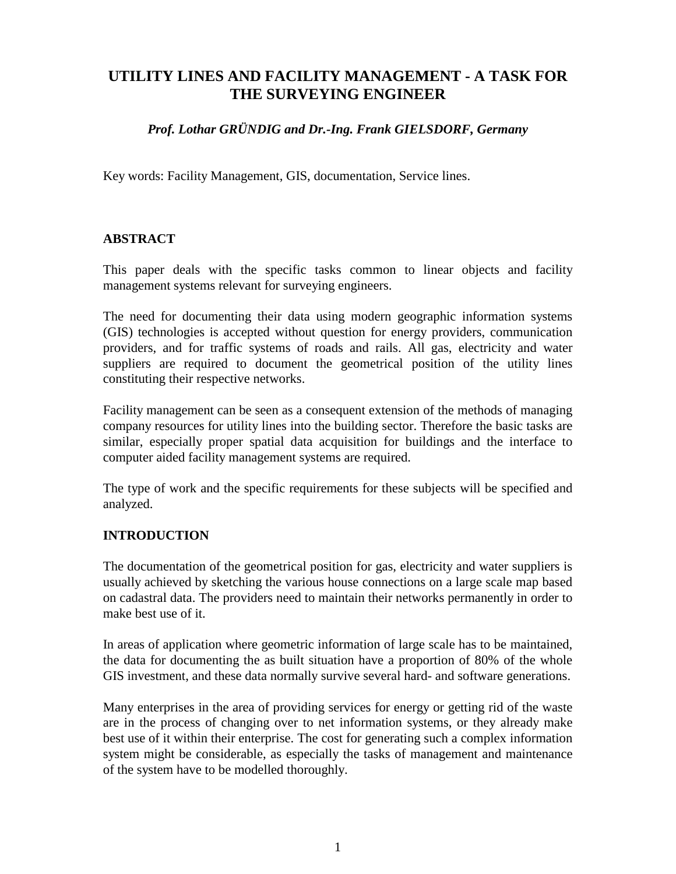# **UTILITY LINES AND FACILITY MANAGEMENT - A TASK FOR THE SURVEYING ENGINEER**

## *Prof. Lothar GRÜNDIG and Dr.-Ing. Frank GIELSDORF, Germany*

Key words: Facility Management, GIS, documentation, Service lines.

#### **ABSTRACT**

This paper deals with the specific tasks common to linear objects and facility management systems relevant for surveying engineers.

The need for documenting their data using modern geographic information systems (GIS) technologies is accepted without question for energy providers, communication providers, and for traffic systems of roads and rails. All gas, electricity and water suppliers are required to document the geometrical position of the utility lines constituting their respective networks.

Facility management can be seen as a consequent extension of the methods of managing company resources for utility lines into the building sector. Therefore the basic tasks are similar, especially proper spatial data acquisition for buildings and the interface to computer aided facility management systems are required.

The type of work and the specific requirements for these subjects will be specified and analyzed.

#### **INTRODUCTION**

The documentation of the geometrical position for gas, electricity and water suppliers is usually achieved by sketching the various house connections on a large scale map based on cadastral data. The providers need to maintain their networks permanently in order to make best use of it.

In areas of application where geometric information of large scale has to be maintained, the data for documenting the as built situation have a proportion of 80% of the whole GIS investment, and these data normally survive several hard- and software generations.

Many enterprises in the area of providing services for energy or getting rid of the waste are in the process of changing over to net information systems, or they already make best use of it within their enterprise. The cost for generating such a complex information system might be considerable, as especially the tasks of management and maintenance of the system have to be modelled thoroughly.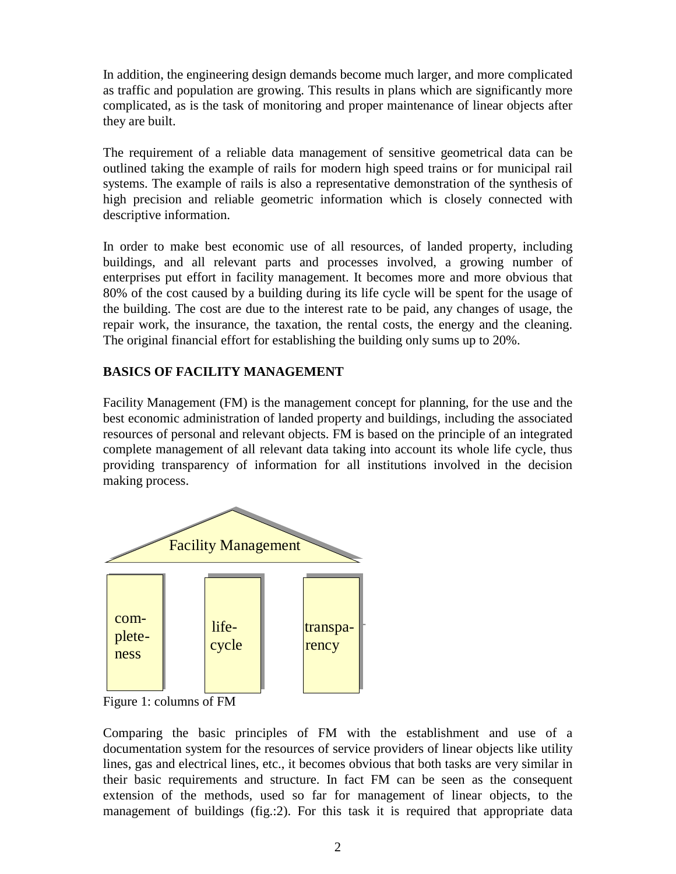In addition, the engineering design demands become much larger, and more complicated as traffic and population are growing. This results in plans which are significantly more complicated, as is the task of monitoring and proper maintenance of linear objects after they are built.

The requirement of a reliable data management of sensitive geometrical data can be outlined taking the example of rails for modern high speed trains or for municipal rail systems. The example of rails is also a representative demonstration of the synthesis of high precision and reliable geometric information which is closely connected with descriptive information.

In order to make best economic use of all resources, of landed property, including buildings, and all relevant parts and processes involved, a growing number of enterprises put effort in facility management. It becomes more and more obvious that 80% of the cost caused by a building during its life cycle will be spent for the usage of the building. The cost are due to the interest rate to be paid, any changes of usage, the repair work, the insurance, the taxation, the rental costs, the energy and the cleaning. The original financial effort for establishing the building only sums up to 20%.

# **BASICS OF FACILITY MANAGEMENT**

Facility Management (FM) is the management concept for planning, for the use and the best economic administration of landed property and buildings, including the associated resources of personal and relevant objects. FM is based on the principle of an integrated complete management of all relevant data taking into account its whole life cycle, thus providing transparency of information for all institutions involved in the decision making process.



Figure 1: columns of FM

Comparing the basic principles of FM with the establishment and use of a documentation system for the resources of service providers of linear objects like utility lines, gas and electrical lines, etc., it becomes obvious that both tasks are very similar in their basic requirements and structure. In fact FM can be seen as the consequent extension of the methods, used so far for management of linear objects, to the management of buildings (fig.:2). For this task it is required that appropriate data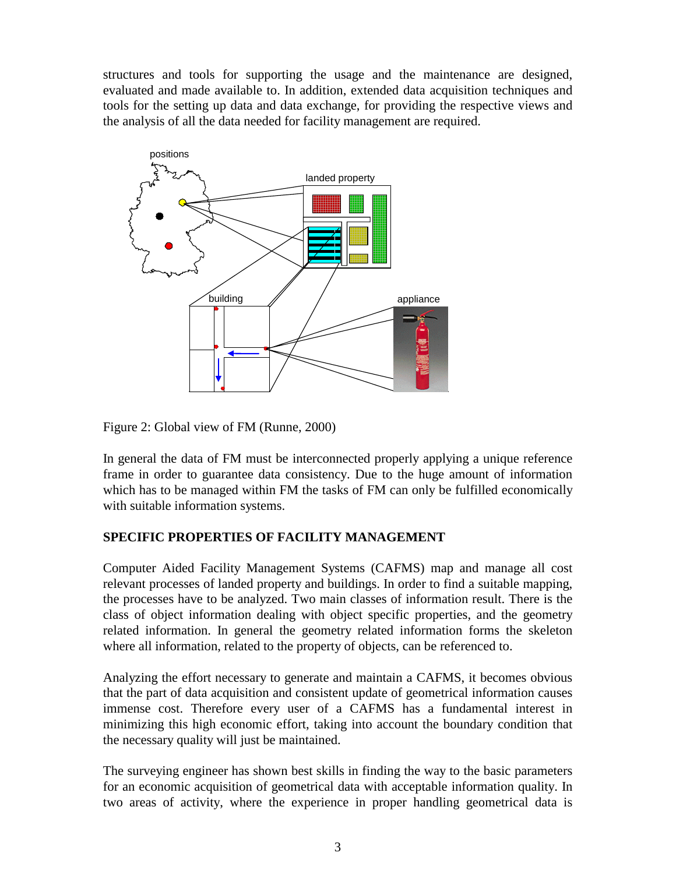structures and tools for supporting the usage and the maintenance are designed, evaluated and made available to. In addition, extended data acquisition techniques and tools for the setting up data and data exchange, for providing the respective views and the analysis of all the data needed for facility management are required.



Figure 2: Global view of FM (Runne, 2000)

In general the data of FM must be interconnected properly applying a unique reference frame in order to guarantee data consistency. Due to the huge amount of information which has to be managed within FM the tasks of FM can only be fulfilled economically with suitable information systems.

# **SPECIFIC PROPERTIES OF FACILITY MANAGEMENT**

Computer Aided Facility Management Systems (CAFMS) map and manage all cost relevant processes of landed property and buildings. In order to find a suitable mapping, the processes have to be analyzed. Two main classes of information result. There is the class of object information dealing with object specific properties, and the geometry related information. In general the geometry related information forms the skeleton where all information, related to the property of objects, can be referenced to.

Analyzing the effort necessary to generate and maintain a CAFMS, it becomes obvious that the part of data acquisition and consistent update of geometrical information causes immense cost. Therefore every user of a CAFMS has a fundamental interest in minimizing this high economic effort, taking into account the boundary condition that the necessary quality will just be maintained.

The surveying engineer has shown best skills in finding the way to the basic parameters for an economic acquisition of geometrical data with acceptable information quality. In two areas of activity, where the experience in proper handling geometrical data is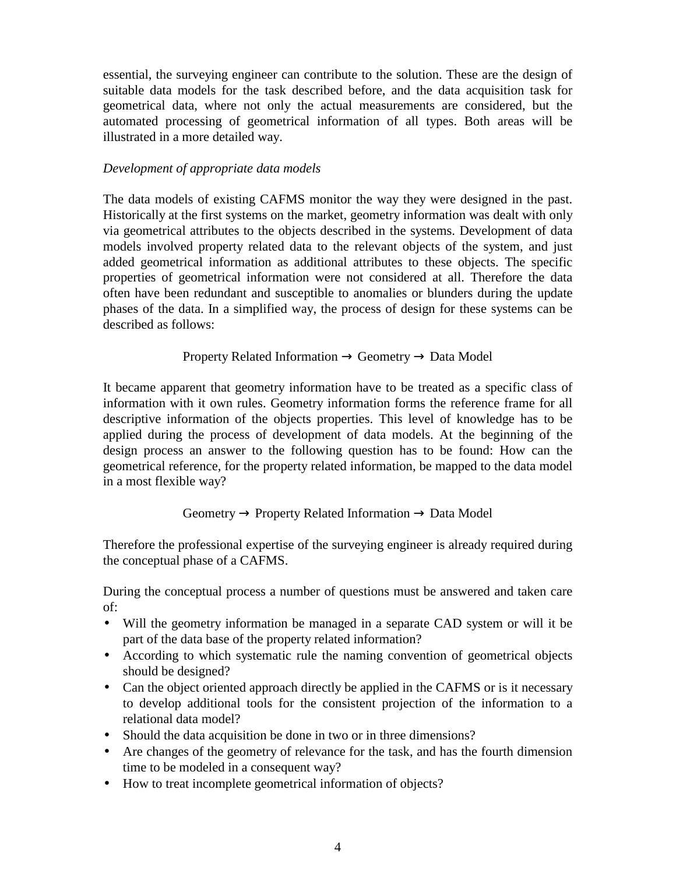essential, the surveying engineer can contribute to the solution. These are the design of suitable data models for the task described before, and the data acquisition task for geometrical data, where not only the actual measurements are considered, but the automated processing of geometrical information of all types. Both areas will be illustrated in a more detailed way.

### *Development of appropriate data models*

The data models of existing CAFMS monitor the way they were designed in the past. Historically at the first systems on the market, geometry information was dealt with only via geometrical attributes to the objects described in the systems. Development of data models involved property related data to the relevant objects of the system, and just added geometrical information as additional attributes to these objects. The specific properties of geometrical information were not considered at all. Therefore the data often have been redundant and susceptible to anomalies or blunders during the update phases of the data. In a simplified way, the process of design for these systems can be described as follows:

Property Related Information  $\rightarrow$  Geometry  $\rightarrow$  Data Model

It became apparent that geometry information have to be treated as a specific class of information with it own rules. Geometry information forms the reference frame for all descriptive information of the objects properties. This level of knowledge has to be applied during the process of development of data models. At the beginning of the design process an answer to the following question has to be found: How can the geometrical reference, for the property related information, be mapped to the data model in a most flexible way?

# Geometry  $\rightarrow$  Property Related Information  $\rightarrow$  Data Model

Therefore the professional expertise of the surveying engineer is already required during the conceptual phase of a CAFMS.

During the conceptual process a number of questions must be answered and taken care of:

- Will the geometry information be managed in a separate CAD system or will it be part of the data base of the property related information?
- According to which systematic rule the naming convention of geometrical objects should be designed?
- Can the object oriented approach directly be applied in the CAFMS or is it necessary to develop additional tools for the consistent projection of the information to a relational data model?
- Should the data acquisition be done in two or in three dimensions?
- Are changes of the geometry of relevance for the task, and has the fourth dimension time to be modeled in a consequent way?
- How to treat incomplete geometrical information of objects?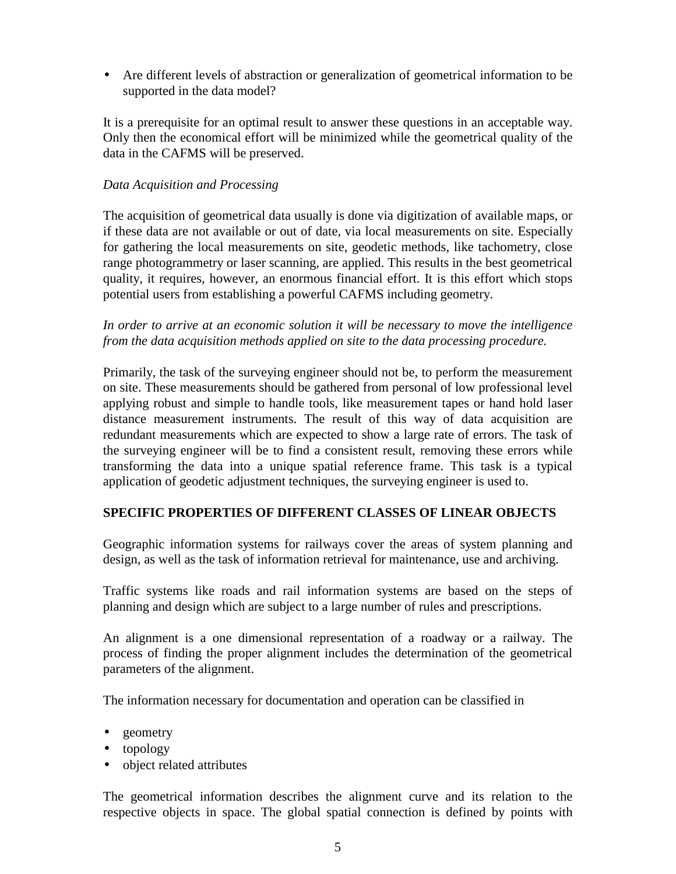• Are different levels of abstraction or generalization of geometrical information to be supported in the data model?

It is a prerequisite for an optimal result to answer these questions in an acceptable way. Only then the economical effort will be minimized while the geometrical quality of the data in the CAFMS will be preserved.

### *Data Acquisition and Processing*

The acquisition of geometrical data usually is done via digitization of available maps, or if these data are not available or out of date, via local measurements on site. Especially for gathering the local measurements on site, geodetic methods, like tachometry, close range photogrammetry or laser scanning, are applied. This results in the best geometrical quality, it requires, however, an enormous financial effort. It is this effort which stops potential users from establishing a powerful CAFMS including geometry.

## *In order to arrive at an economic solution it will be necessary to move the intelligence from the data acquisition methods applied on site to the data processing procedure.*

Primarily, the task of the surveying engineer should not be, to perform the measurement on site. These measurements should be gathered from personal of low professional level applying robust and simple to handle tools, like measurement tapes or hand hold laser distance measurement instruments. The result of this way of data acquisition are redundant measurements which are expected to show a large rate of errors. The task of the surveying engineer will be to find a consistent result, removing these errors while transforming the data into a unique spatial reference frame. This task is a typical application of geodetic adjustment techniques, the surveying engineer is used to.

# **SPECIFIC PROPERTIES OF DIFFERENT CLASSES OF LINEAR OBJECTS**

Geographic information systems for railways cover the areas of system planning and design, as well as the task of information retrieval for maintenance, use and archiving.

Traffic systems like roads and rail information systems are based on the steps of planning and design which are subject to a large number of rules and prescriptions.

An alignment is a one dimensional representation of a roadway or a railway. The process of finding the proper alignment includes the determination of the geometrical parameters of the alignment.

The information necessary for documentation and operation can be classified in

- geometry
- topology
- object related attributes

The geometrical information describes the alignment curve and its relation to the respective objects in space. The global spatial connection is defined by points with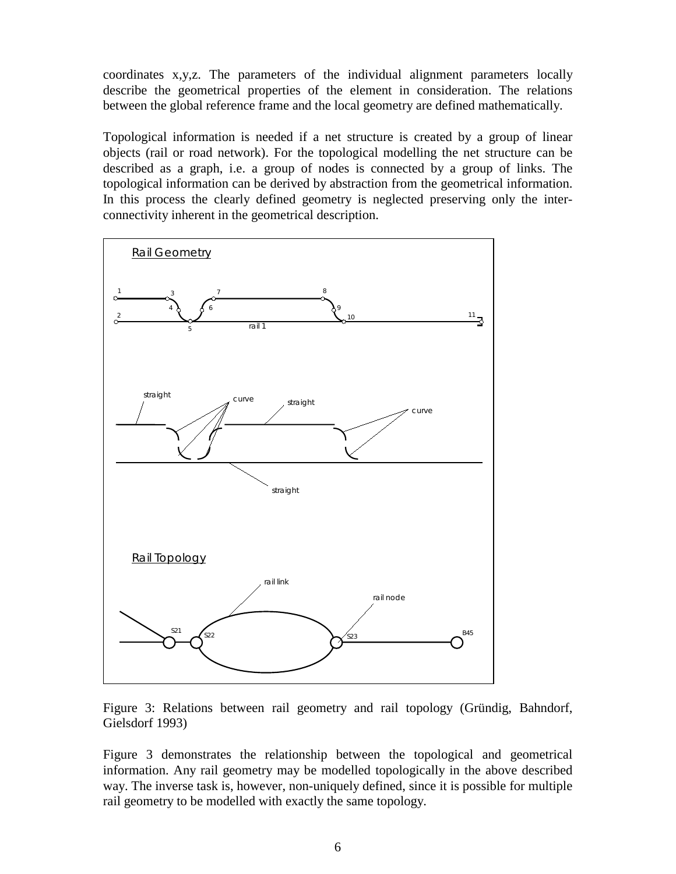coordinates x,y,z. The parameters of the individual alignment parameters locally describe the geometrical properties of the element in consideration. The relations between the global reference frame and the local geometry are defined mathematically.

Topological information is needed if a net structure is created by a group of linear objects (rail or road network). For the topological modelling the net structure can be described as a graph, i.e. a group of nodes is connected by a group of links. The topological information can be derived by abstraction from the geometrical information. In this process the clearly defined geometry is neglected preserving only the interconnectivity inherent in the geometrical description.



Figure 3: Relations between rail geometry and rail topology (Gründig, Bahndorf, Gielsdorf 1993)

Figure 3 demonstrates the relationship between the topological and geometrical information. Any rail geometry may be modelled topologically in the above described way. The inverse task is, however, non-uniquely defined, since it is possible for multiple rail geometry to be modelled with exactly the same topology.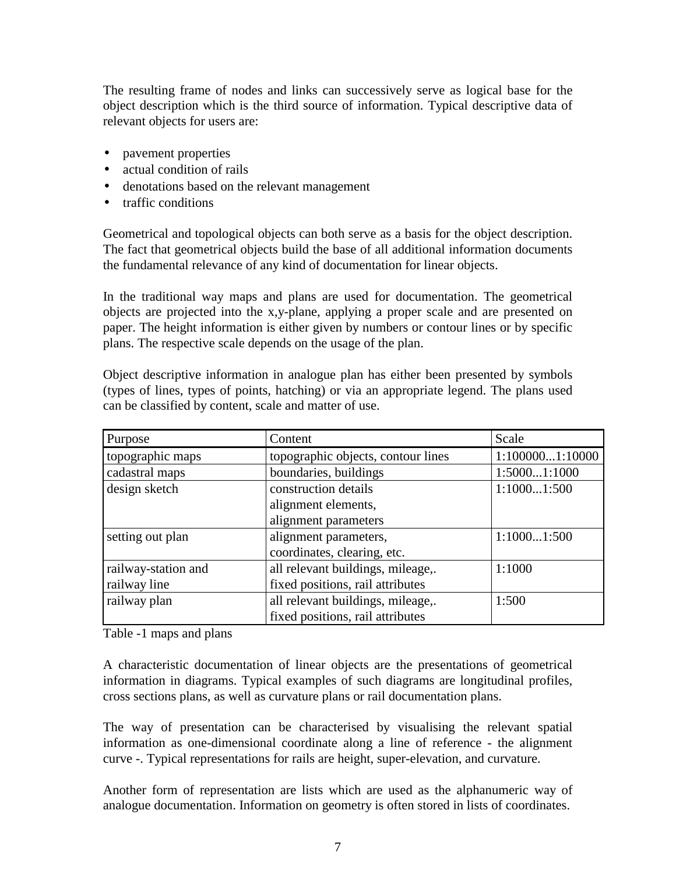The resulting frame of nodes and links can successively serve as logical base for the object description which is the third source of information. Typical descriptive data of relevant objects for users are:

- pavement properties
- actual condition of rails
- denotations based on the relevant management
- traffic conditions

Geometrical and topological objects can both serve as a basis for the object description. The fact that geometrical objects build the base of all additional information documents the fundamental relevance of any kind of documentation for linear objects.

In the traditional way maps and plans are used for documentation. The geometrical objects are projected into the x,y-plane, applying a proper scale and are presented on paper. The height information is either given by numbers or contour lines or by specific plans. The respective scale depends on the usage of the plan.

Object descriptive information in analogue plan has either been presented by symbols (types of lines, types of points, hatching) or via an appropriate legend. The plans used can be classified by content, scale and matter of use.

| Purpose             | Content                            | Scale           |
|---------------------|------------------------------------|-----------------|
| topographic maps    | topographic objects, contour lines | 1:1000001:10000 |
| cadastral maps      | boundaries, buildings              | 1:50001:1000    |
| design sketch       | construction details               | 1:10001:500     |
|                     | alignment elements,                |                 |
|                     | alignment parameters               |                 |
| setting out plan    | alignment parameters,              | 1:10001:500     |
|                     | coordinates, clearing, etc.        |                 |
| railway-station and | all relevant buildings, mileage,.  | 1:1000          |
| railway line        | fixed positions, rail attributes   |                 |
| railway plan        | all relevant buildings, mileage,.  | 1:500           |
|                     | fixed positions, rail attributes   |                 |

Table -1 maps and plans

A characteristic documentation of linear objects are the presentations of geometrical information in diagrams. Typical examples of such diagrams are longitudinal profiles, cross sections plans, as well as curvature plans or rail documentation plans.

The way of presentation can be characterised by visualising the relevant spatial information as one-dimensional coordinate along a line of reference - the alignment curve -. Typical representations for rails are height, super-elevation, and curvature.

Another form of representation are lists which are used as the alphanumeric way of analogue documentation. Information on geometry is often stored in lists of coordinates.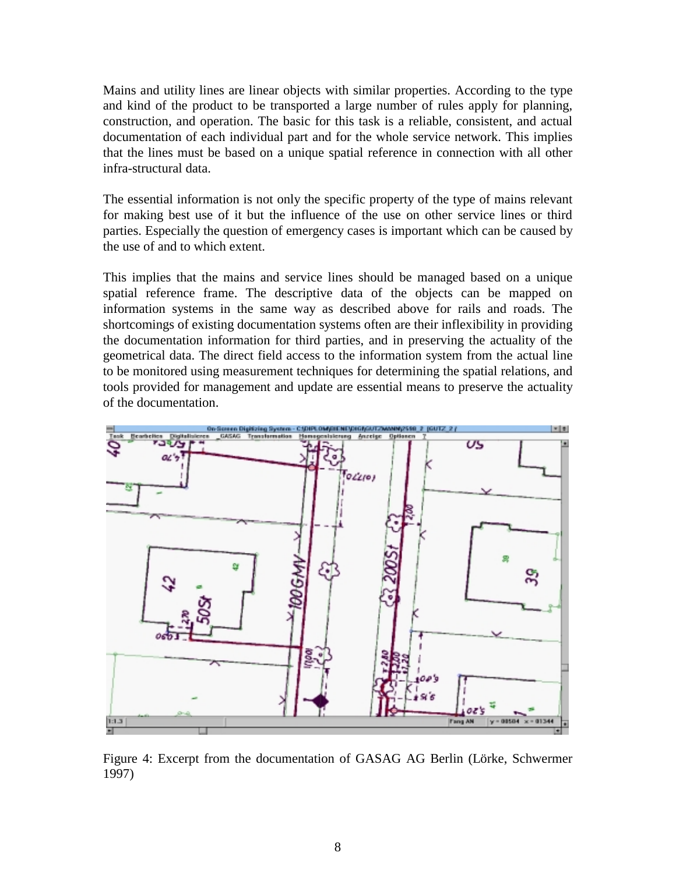Mains and utility lines are linear objects with similar properties. According to the type and kind of the product to be transported a large number of rules apply for planning, construction, and operation. The basic for this task is a reliable, consistent, and actual documentation of each individual part and for the whole service network. This implies that the lines must be based on a unique spatial reference in connection with all other infra-structural data.

The essential information is not only the specific property of the type of mains relevant for making best use of it but the influence of the use on other service lines or third parties. Especially the question of emergency cases is important which can be caused by the use of and to which extent.

This implies that the mains and service lines should be managed based on a unique spatial reference frame. The descriptive data of the objects can be mapped on information systems in the same way as described above for rails and roads. The shortcomings of existing documentation systems often are their inflexibility in providing the documentation information for third parties, and in preserving the actuality of the geometrical data. The direct field access to the information system from the actual line to be monitored using measurement techniques for determining the spatial relations, and tools provided for management and update are essential means to preserve the actuality of the documentation.



Figure 4: Excerpt from the documentation of GASAG AG Berlin (Lörke, Schwermer 1997)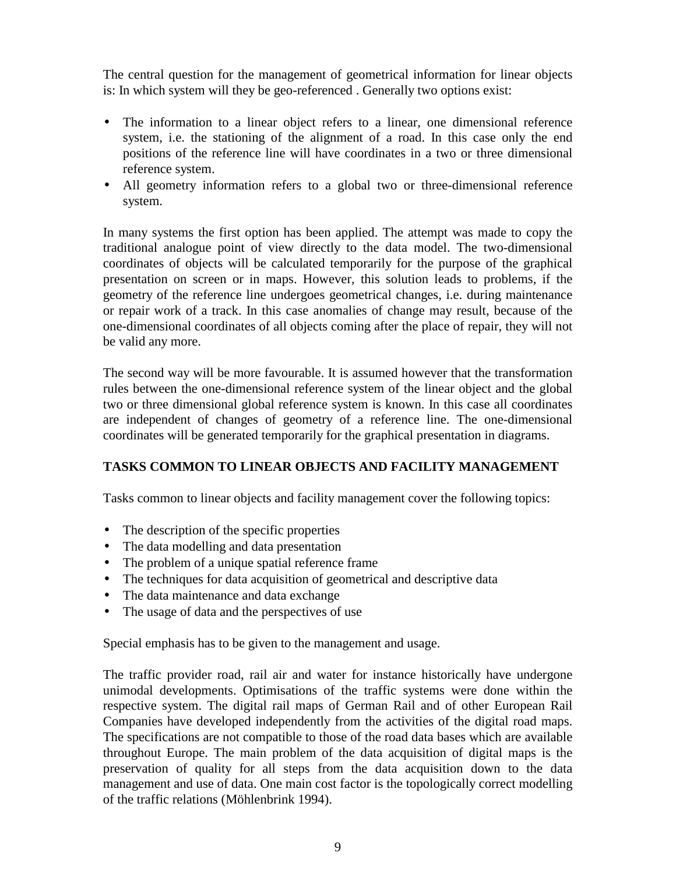The central question for the management of geometrical information for linear objects is: In which system will they be geo-referenced . Generally two options exist:

- The information to a linear object refers to a linear, one dimensional reference system, i.e. the stationing of the alignment of a road. In this case only the end positions of the reference line will have coordinates in a two or three dimensional reference system.
- All geometry information refers to a global two or three-dimensional reference system.

In many systems the first option has been applied. The attempt was made to copy the traditional analogue point of view directly to the data model. The two-dimensional coordinates of objects will be calculated temporarily for the purpose of the graphical presentation on screen or in maps. However, this solution leads to problems, if the geometry of the reference line undergoes geometrical changes, i.e. during maintenance or repair work of a track. In this case anomalies of change may result, because of the one-dimensional coordinates of all objects coming after the place of repair, they will not be valid any more.

The second way will be more favourable. It is assumed however that the transformation rules between the one-dimensional reference system of the linear object and the global two or three dimensional global reference system is known. In this case all coordinates are independent of changes of geometry of a reference line. The one-dimensional coordinates will be generated temporarily for the graphical presentation in diagrams.

# **TASKS COMMON TO LINEAR OBJECTS AND FACILITY MANAGEMENT**

Tasks common to linear objects and facility management cover the following topics:

- The description of the specific properties
- The data modelling and data presentation
- The problem of a unique spatial reference frame
- The techniques for data acquisition of geometrical and descriptive data
- The data maintenance and data exchange
- The usage of data and the perspectives of use

Special emphasis has to be given to the management and usage.

The traffic provider road, rail air and water for instance historically have undergone unimodal developments. Optimisations of the traffic systems were done within the respective system. The digital rail maps of German Rail and of other European Rail Companies have developed independently from the activities of the digital road maps. The specifications are not compatible to those of the road data bases which are available throughout Europe. The main problem of the data acquisition of digital maps is the preservation of quality for all steps from the data acquisition down to the data management and use of data. One main cost factor is the topologically correct modelling of the traffic relations (Möhlenbrink 1994).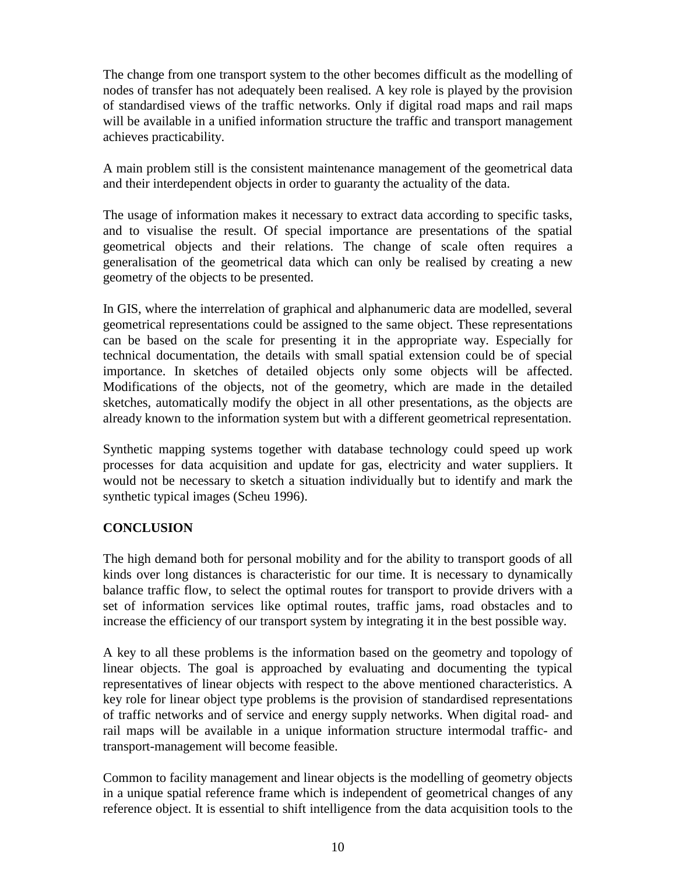The change from one transport system to the other becomes difficult as the modelling of nodes of transfer has not adequately been realised. A key role is played by the provision of standardised views of the traffic networks. Only if digital road maps and rail maps will be available in a unified information structure the traffic and transport management achieves practicability.

A main problem still is the consistent maintenance management of the geometrical data and their interdependent objects in order to guaranty the actuality of the data.

The usage of information makes it necessary to extract data according to specific tasks, and to visualise the result. Of special importance are presentations of the spatial geometrical objects and their relations. The change of scale often requires a generalisation of the geometrical data which can only be realised by creating a new geometry of the objects to be presented.

In GIS, where the interrelation of graphical and alphanumeric data are modelled, several geometrical representations could be assigned to the same object. These representations can be based on the scale for presenting it in the appropriate way. Especially for technical documentation, the details with small spatial extension could be of special importance. In sketches of detailed objects only some objects will be affected. Modifications of the objects, not of the geometry, which are made in the detailed sketches, automatically modify the object in all other presentations, as the objects are already known to the information system but with a different geometrical representation.

Synthetic mapping systems together with database technology could speed up work processes for data acquisition and update for gas, electricity and water suppliers. It would not be necessary to sketch a situation individually but to identify and mark the synthetic typical images (Scheu 1996).

# **CONCLUSION**

The high demand both for personal mobility and for the ability to transport goods of all kinds over long distances is characteristic for our time. It is necessary to dynamically balance traffic flow, to select the optimal routes for transport to provide drivers with a set of information services like optimal routes, traffic jams, road obstacles and to increase the efficiency of our transport system by integrating it in the best possible way.

A key to all these problems is the information based on the geometry and topology of linear objects. The goal is approached by evaluating and documenting the typical representatives of linear objects with respect to the above mentioned characteristics. A key role for linear object type problems is the provision of standardised representations of traffic networks and of service and energy supply networks. When digital road- and rail maps will be available in a unique information structure intermodal traffic- and transport-management will become feasible.

Common to facility management and linear objects is the modelling of geometry objects in a unique spatial reference frame which is independent of geometrical changes of any reference object. It is essential to shift intelligence from the data acquisition tools to the